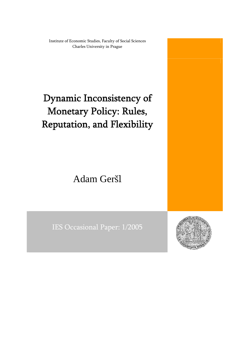Institute of Economic Studies, Faculty of Social Sciences Charles University in Prague

# Dynamic Inconsistency of Monetary Policy: Rules, Reputation, and Flexibility

Adam Geršl

IES Occasional Paper: 1/2005

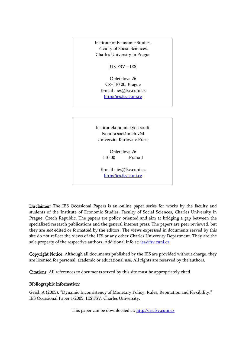Institute of Economic Studies, Faculty of Social Sciences, Charles University in Prague

[UK FSV – IES]

Opletalova 26 CZ-110 00, Prague E-mail : [ies@fsv.cuni.cz](mailto:IES@Mbox.FSV.CUNI.CZ) [http://ies.fsv.cuni.cz](http://ies.fsv.cuni.cz/)

Institut ekonomických studií Fakulta sociálních věd Univerzita Karlova v Praze

> Opletalova 26 110 00 Praha 1

E-mail : [ies@fsv.cuni.cz](mailto:IES@Mbox.FSV.CUNI.CZ) [http://ies.fsv.cuni.cz](http://ies.fsv.cuni.cz/)

Disclaimer: The IES Occasional Papers is an online paper series for works by the faculty and students of the Institute of Economic Studies, Faculty of Social Sciences, Charles University in Prague, Czech Republic. The papers are policy oriented and aim at bridging a gap between the specialized research publications and the general interest press. The papers are peer reviewed, but they are not edited or formatted by the editors. The views expressed in documents served by this site do not reflect the views of the IES or any other Charles University Department. They are the sole property of the respective authors. Additional info at: *[ies@fsv.cuni.cz](mailto:ies@fsv.cuni.cz)* 

Copyright Notice: Although all documents published by the IES are provided without charge, they are licensed for personal, academic or educational use. All rights are reserved by the authors.

Citations: All references to documents served by this site must be appropriately cited.

#### Bibliographic information:

Geršl, A (2005). "Dynamic Inconsistency of Monetary Policy: Rules, Reputation and Flexibility." IES Occasional Paper 1/2005, IES FSV. Charles University.

This paper can be downloaded at: [http://ies.fsv.cuni.cz](http://ies.fsv.cuni.cz/)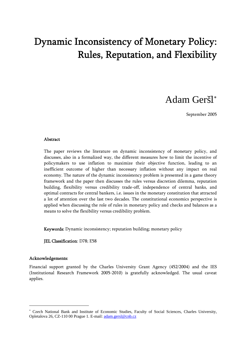## Dynamic Inconsistency of Monetary Policy: Rules, Reputation, and Flexibility

### Adam Geršl [∗](#page-2-0)

September 2005

#### **Abstract**

The paper reviews the literature on dynamic inconsistency of monetary policy, and discusses, also in a formalized way, the different measures how to limit the incentive of policymakers to use inflation to maximize their objective function, leading to an inefficient outcome of higher than necessary inflation without any impact on real economy. The nature of the dynamic inconsistency problem is presented in a game theory framework and the paper then discusses the rules versus discretion dilemma, reputation building, flexibility versus credibility trade-off, independence of central banks, and optimal contracts for central bankers, i.e. issues in the monetary constitution that attracted a lot of attention over the last two decades. The constitutional economics perspective is applied when discussing the role of rules in monetary policy and checks and balances as a means to solve the flexibility versus credibility problem.

Keywords: Dynamic inconsistency; reputation building; monetary policy

JEL Classification: D78; E58

#### Acknowledgements:

-

Financial support granted by the Charles University Grant Agency (452/2004) and the IES (Institutional Research Framework 2005-2010) is gratefully acknowledged. The usual caveat applies.

<span id="page-2-0"></span><sup>∗</sup> Czech National Bank and Institute of Economic Studies, Faculty of Social Sciences, Charles University, Opletalova 26, CZ-110 00 Prague 1. E-mail: [adam.gersl@cnb.cz](mailto:tomas.holub@cnb.cz)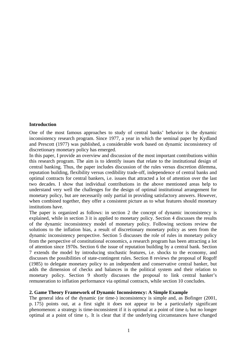#### **Introduction**

One of the most famous approaches to study of central banks' behavior is the dynamic inconsistency research program. Since 1977, a year in which the seminal paper by Kydland and Prescott (1977) was published, a considerable work based on dynamic inconsistency of discretionary monetary policy has emerged.

In this paper, I provide an overview and discussion of the most important contributions within this research program. The aim is to identify issues that relate to the institutional design of central banking. Thus, the paper includes discussion of the rules versus discretion dilemma, reputation building, flexibility versus credibility trade-off, independence of central banks and optimal contracts for central bankers, i.e. issues that attracted a lot of attention over the last two decades. I show that individual contributions in the above mentioned areas help to understand very well the challenges for the design of optimal institutional arrangement for monetary policy, but are necessarily only partial in providing satisfactory answers. However, when combined together, they offer a consistent picture as to what features should monetary institutions have.

The paper is organized as follows: in section 2 the concept of dynamic inconsistency is explained, while in section 3 it is applied to monetary policy. Section 4 discusses the results of the dynamic inconsistency model of monetary policy. Following sections review the solutions to the inflation bias, a result of discretionary monetary policy as seen from the dynamic inconsistency perspective. Section 5 discusses the role of rules in monetary policy from the perspective of constitutional economics, a research program has been attracting a lot of attention since 1970s. Section 6 the issue of reputation building by a central bank. Section 7 extends the model by introducing stochastic features, i.e. shocks to the economy, and discusses the possibilities of state-contingent rules. Section 8 reviews the proposal of Rogoff (1985) to delegate monetary policy to an independent and conservative central banker, but adds the dimension of checks and balances in the political system and their relation to monetary policy. Section 9 shortly discusses the proposal to link central banker's remuneration to inflation performance via optimal contracts, while section 10 concludes.

#### **2. Game Theory Framework of Dynamic Inconsistency: A Simple Example**

The general idea of the dynamic (or time-) inconsistency is simple and, as Bofinger (2001, p. 175) points out, at a first sight it does not appear to be a particularly significant phenomenon: a strategy is time-inconsistent if it is optimal at a point of time  $t_0$  but no longer optimal at a point of time *t*1. It is clear that if the underlying circumstances have changed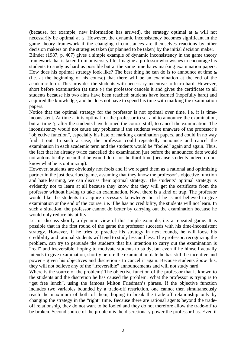(because, for example, new information has arrived), the strategy optimal at  $t_0$  will not necessarily be optimal at  $t_1$ . However, the dynamic inconsistency becomes significant in the game theory framework if the changing circumstances are themselves reactions by other decision makers on the strategies taken (or planned to be taken) by the initial decision maker.

Blinder (1987, p. 407) gives a simple example of dynamic inconsistency in the game theory framework that is taken from university life. Imagine a professor who wishes to encourage his students to study as hard as possible but at the same time hates marking examination papers. How does his optimal strategy look like? The best thing he can do is to announce at time  $t_0$ (i.e. at the beginning of his course) that there will be an examination at the end of the academic term. This provides the students with necessary incentive to learn hard. However, short before examination (at time  $t_1$ ) the professor cancels it and gives the certificate to all students because his two aims have been reached: students have learned (hopefully hard) and acquired the knowledge, and he does not have to spend his time with marking the examination papers.

Notice that the optimal strategy for the professor is not optimal over time, i.e. it is timeinconsistent. At time  $t_0$  it is optimal for the professor to set and to announce the examination, but at time *t*1, after the students have learned the course stuff, to cancel the examination. The inconsistency would not cause any problems if the students were unaware of the professor's "objective function", especially his hate of marking examination papers, and could in no way find it out. In such a case, the professor could repeatedly announce and cancel the examination in each academic term and the students would be "fooled" again and again. Thus, the fact that he already twice cancelled the examination just before the announced date would not automatically mean that he would do it for the third time (because students indeed do not know what he is optimizing).

However, students are obviously not fools and if we regard them as a rational and optimizing partner in the just described game, assuming that they know the professor's objective function and hate learning, we can discuss their optimal strategy. The students' optimal strategy is evidently not to learn at all because they know that they will get the certificate from the professor without having to take an examination. Now, there is a kind of trap. The professor would like the students to acquire necessary knowledge but if he is not believed to give examination at the end of the course, i.e. if he has no credibility, the students will not learn. In such a situation, the professor cannot do better by carrying out the examination because he would only reduce his utility.

Let us discuss shortly a dynamic view of this simple example, i.e. a repeated game. It is possible that in the first round of the game the professor succeeds with his time-inconsistent strategy. However, if he tries to practice his strategy in next rounds, he will loose his credibility and rational students will tend to study less and less. The professor, recognizing the problem, can try to persuade the students that his intention to carry out the examination is "real" and irreversible, hoping to motivate students to study, but even if he himself actually intends to give examination, shortly before the examination date he has still the incentive and power - given his objectives and discretion - to cancel it again. Because students *know* this, they will not believe any of the "irreversible" announcements and will not study hard.

Where is the source of the problem? The objective function of the professor that is known to the students and the discretion he has caused the problem. What the professor is trying is to "get free lunch", using the famous Milton Friedman's phrase. If the objective function includes two variables bounded by a trade-off restriction, one cannot then simultaneously reach the maximum of both of them, hoping to break the trade-off relationship only by changing the strategy in the "right" time. Because there are rational agents beyond the tradeoff relationship, they do not want to be fooled and they do not therefore allow the trade-off to be broken. Second source of the problem is the discretionary power the professor has. Even if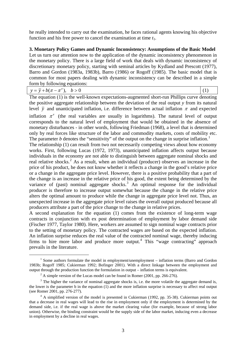he really intended to carry out the examination, he faces rational agents knowing his objective function and his free power to cancel the examination at time *t*1.

#### **3. Monetary Policy Games and Dynamic Inconsistency: Assumptions of the Basic Model**

Let us turn our attention now to the application of the dynamic inconsistency phenomenon in the monetary policy. There is a large field of work that deals with dynamic inconsistency of discretionary monetary policy, starting with seminal articles by Kydland and Prescott (1977), Barro and Gordon (1983a, 1983b), Barro (1986) or Rogoff (1985). The basic model that is common for most papers dealing with dynamic inconsistency can be described in a simple form by following equations:

| $y = \overline{y} + b(\pi - \pi^e), \quad b > 0$ |  |
|--------------------------------------------------|--|
|--------------------------------------------------|--|

The equation (1) is the well-known expectations-augmented short-run Phillips curve denoting the positive aggregate relationship between the deviation of the real output *y* from its natural level  $\bar{y}$  and unanticipated inflation, i.e. difference between actual inflation  $\pi$  and expected

inflation  $\pi^e$  (the real variables are usually in logarithms). The natural level of output corresponds to the natural level of employment that would be obtained in the absence of monetary disturbances - in other words, following Friedman (1968), a level that is determined only by real forces like structure of the labor and commodity markets, costs of mobility etc. The parameter  $b$  denotes the "sensitivity" of the output on the change in surprise inflation.<sup>[1](#page-5-0)</sup>

The relationship (1) can result from two not necessarily competing views about how economy works. First, following Lucas (1972, 1973), unanticipated inflation affects output because individuals in the economy are not able to distinguish between aggregate nominal shocks and real relative shocks.<sup>[2](#page-5-1)</sup> As a result, when an individual (producer) observes an increase in the price of his product, he does not know whether it reflects a change in the good's relative price or a change in the aggregate price level. However, there is a positive probability that a part of the change is an increase in the relative price of his good, the extent being determined by the variance of (past) nominal aggregate shocks.<sup>[3](#page-5-2)</sup> An optimal response for the individual producer is therefore to increase output somewhat because the change in the relative price alters the optimal amount to produce while the change in aggregate price level not. Thus, an unexpected increase in the aggregate price level raises the overall output produced because all producers attribute a part of the price change to the change in relative prices.

A second explanation for the equation (1) comes from the existence of long-term wage contracts in conjunction with ex post determination of employment by labor demand side (Fischer 1977, Taylor 1980). Here, workers are assumed to sign nominal wage contracts prior to the setting of monetary policy. The contracted wages are based on the expected inflation. An inflation surprise reduces the real value of the contracted nominal wage, thereby inducing firms to hire more labor and produce more output.<sup>[4](#page-5-3)</sup> This "wage contracting" approach prevails in the literature.

-

<span id="page-5-0"></span><sup>&</sup>lt;sup>1</sup> Some authors formulate the model in employment/unemployment – inflation terms (Barro and Gordon 1983b; Rogoff 1985; Cukierman 1992; Bofinger 2001). With a direct linkage between the employment and output through the production function the formulation in output – inflation terms is equivalent. 2

 $^2$  A simple version of the Lucas model can be found in Romer (2001, pp. 266-276).

<span id="page-5-2"></span><span id="page-5-1"></span> $3$  The higher the variance of nominal aggregate shocks is, i.e. the more volatile the aggregate demand is, the lower is the parameter b in the equation (1) and the more inflation surprise is necessary to affect real output (see Romer 2001, pp. 276-277). 4

<span id="page-5-3"></span><sup>&</sup>lt;sup>4</sup> A simplified version of the model is presented in Cukierman (1992, pp. 35-38). Cukierman points out that a decrease in real wages will lead to the rise in employment only if the employment is determined by the demand side, i.e. if the real wage is above the market clearing value (for example, because of strong labor union). Otherwise, the binding constraint would be the supply side of the labor market, inducing even a decrease in employment by a decline in real wages.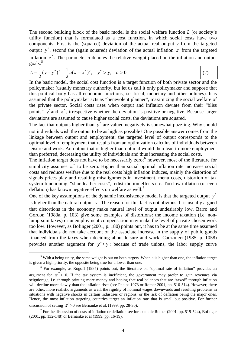The second building block of the basic model is the social welfare function *L* (or society's utility function) that is formulated as a cost function, in which social costs have two components. First is the (squared) deviation of the actual real output *y* from the targeted output y<sup>\*</sup>, second the (again squared) deviation of the actual inflation  $\pi$  from the targeted inflation  $\pi^*$ . The parameter *a* denotes the relative weight placed on the inflation and output goals. [5](#page-6-0)

$$
L = \frac{1}{2}(y - y^*)^2 + \frac{1}{2}a(\pi - \pi^*)^2, \quad y^* > \overline{y}, \quad a > 0
$$
 (2)

In the basic model, the social cost function is a target function of both private sector and the policymaker (usually monetary authority, but let us call it only policymaker and suppose that this political body has all economic functions, i.e. fiscal, monetary and other policies). It is assumed that the policymaker acts as "benevolent planner", maximizing the social welfare of the private sector. Social costs rises when output and inflation deviate from their "bliss points"  $y^*$  and  $\pi^*$ , irrespective whether the deviation is positive or negative. Because larger deviations are assumed to cause higher social costs, the deviations are squared.

The fact that outputs higher than  $y^*$  are valued negatively is somewhat puzzling. Why should not individuals wish the output to be as high as possible? One possible answer comes from the linkage between output and employment: the targeted level of output corresponds to the optimal level of employment that results from an optimization calculus of individuals between leisure and work. An output that is higher than optimal would then lead to more employment than preferred, decreasing the utility of individuals and thus increasing the social costs.

The inflation target does not have to be necessarily zero;  $6 \text{ however}$  $6 \text{ however}$ , most of the literature for simplicity assumes  $\pi^*$  to be zero. Higher than social optimal inflation rate increases social costs and reduces welfare due to the real costs high inflation induces, mainly the distortion of signals prices play and resulting misalignments in investment, menu costs, distortion of tax system functioning, "shoe leather costs", redistribution effects etc. Too low inflation (or even deflation) has known negative effects on welfare as well.<sup>[7](#page-6-2)</sup>

One of the key assumptions of the dynamic inconsistency model is that the targeted output y<sup>\*</sup> is higher than the natural output  $\bar{y}$ . The reason for this fact is not obvious. It is usually argued that distortions in the economy make natural level of output undesirably low. Barro and Gordon (1983a, p. 103) give some examples of distortions: the income taxation (i.e. nonlump-sum taxes) or unemployment compensation may make the level of private-chosen work too low. However, as Bofinger (2001, p. 180) points out, it has to be at the same time assumed that individuals do not take account of the associate increase in the supply of public goods financed from the taxes when deciding about leisure and work. Canzoneri (1985, p. 1058) provides another argument for  $y^* > \overline{y}$ : because of trade unions, the labor supply curve

-

<span id="page-6-0"></span><sup>&</sup>lt;sup>5</sup> With a being unity, the same weight is put on both targets. When a is higher than one, the inflation target is given a high priority, the opposite being true for a lower than one.

<span id="page-6-1"></span><sup>&</sup>lt;sup>6</sup> For example, as Rogoff (1985) points out, the literature on "optimal rate of inflation" provides an argument for  $\pi$ <sup>\*</sup> > 0. If the tax system is inefficient, the government may prefer to gain revenues via seigniorage, i.e. through printing more money and hoping that real balances that are "taxed" through inflation will decline more slowly than the inflation rises (see Phelps 1973 or Romer 2001, pp. 510-514). However, there are other, more realistic arguments as well, the rigidity of nominal wages downwards and resulting problems in situations with negative shocks in certain industries or regions, or the risk of deflation being the major ones. Hence, the most inflation targeting countries target an inflation rate that is small but positive. For further discussion of setting  $\pi^*$  >0 see Bernanke et al. (1999, pp. 28-30).

<span id="page-6-2"></span><sup>&</sup>lt;sup>7</sup> For the discussion of costs of inflation or deflation see for example Romer (2001, pp. 519-524), Bofinger (2001, pp. 132-148) or Bernanke et al (1999, pp. 16-19).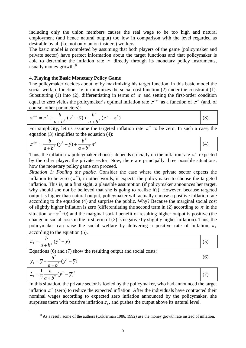including only the union members causes the real wage to be too high and natural employment (and hence natural output) too low in comparison with the level regarded as desirable by all (i.e. not only union insiders) workers.

The basic model is completed by assuming that both players of the game (policymaker and private sector) have perfect information about the target functions and that policymaker is able to determine the inflation rate  $\pi$  directly through its monetary policy instruments, usually money growth.<sup>[8](#page-7-0)</sup>

#### **4. Playing the Basic Monetary Policy Game**

The policymaker decides about  $\pi$  by maximizing his target function, in this basic model the social welfare function, i.e. it minimizes the social cost function (2) under the constraint (1). Substituting (1) into (2), differentiating in terms of  $\pi$  and setting the first-order condition equal to zero yields the policymaker's optimal inflation rate  $\pi^{opt}$  as a function of  $\pi^e$  (and, of course, other parameters):

$$
\pi^{opt} = \pi^* + \frac{b}{a+b^2} (y^* - \overline{y}) + \frac{b^2}{a+b^2} (\pi^e - \pi^*)
$$
\n(3)

For simplicity, let us assume the targeted inflation rate  $\pi^*$  to be zero. In such a case, the equation (3) simplifies to the equation (4):

$$
\pi^{opt} = \frac{b}{a+b^2}(y^* - \bar{y}) + \frac{b^2}{a+b^2}\pi^e
$$
\n(4)

Thus, the inflation  $\pi$  policymaker chooses depends crucially on the inflation rate  $\pi^e$  expected by the other player, the private sector. Now, there are principally three possible situations, how the monetary policy game can proceed.

*Situation 1: Fooling the public.* Consider the case where the private sector expects the inflation to be zero  $(\pi^*)$ , in other words, it expects the policymaker to choose the targeted inflation. This is, at a first sight, a plausible assumption (if policymaker announces her target, why should she not be believed that she is going to realize it?). However, because targeted output is higher than natural output, policymaker will actually choose a positive inflation rate according to the equation (4) and surprise the public. Why? Because the marginal social cost of slightly higher inflation is zero (differentiating the second term in (2) according to  $\pi$  in the situation  $\pi = \pi^* = 0$ ) and the marginal social benefit of resulting higher output is positive (the change in social costs in the first term of (2) is negative by slightly higher inflation). Thus, the policymaker can raise the social welfare by delivering a positive rate of inflation  $\pi_1$ according to the equation (5).

$$
\pi_1 = \frac{b}{a+b^2} (y^* - \bar{y})
$$
  
Equations (6) and (7) show the resulting output and social costs:

$$
y_1 = \overline{y} + \frac{b^2}{a + b^2} (y^* - \overline{y})
$$
  
\n
$$
L_1 = \frac{1}{2} \frac{a}{a + b^2} (y^* - \overline{y})^2
$$
\n(6)

In this situation, the private sector is fooled by the policymaker, who had announced the target inflation  $\pi^*$  (zero) to reduce the expected inflation. After the individuals have contracted their nominal wages according to expected zero inflation announced by the policymaker, she surprises them with positive inflation  $\pi_1$ , and pushes the output above its natural level.

<span id="page-7-0"></span> <sup>8</sup> <sup>8</sup> As a result, some of the authors (Cukierman 1986, 1992) use the money growth rate instead of inflation.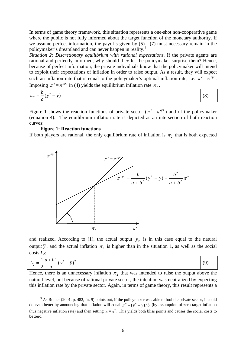In terms of game theory framework, this situation represents a one-shot non-cooperative game where the public is not fully informed about the target function of the monetary authority. If we assume perfect information, the payoffs given by (5) - (7) must necessary remain in the policymaker's dreamland and can never happen in reality.<sup>[9](#page-8-0)</sup>

*Situation 2: Discretionary equilibrium with rational expectations.* If the private agents are rational and perfectly informed, why should they let the policymaker surprise them? Hence, because of perfect information, the private individuals know that the policymaker will intend to exploit their expectations of inflation in order to raise output. As a result, they will expect such an inflation rate that is equal to the policymaker's optimal inflation rate, i.e.  $\pi^e = \pi^{opt}$ . Imposing  $\pi^e = \pi^{opt}$  in (4) yields the equilibrium inflation rate  $\pi_2$ .

$$
\pi_2 = \frac{b}{a} (y^* - \overline{y}) \tag{8}
$$

Figure 1 shows the reaction functions of private sector ( $\pi^e = \pi^{opt}$ ) and of the policymaker (equation 4). The equilibrium inflation rate is depicted as an intersection of both reaction curves:

#### **Figure 1: Reaction functions**

If both players are rational, the only equilibrium rate of inflation is  $\pi_2$  that is both expected



and realized. According to (1), the actual output  $y_2$  is in this case equal to the natural output  $\bar{y}$ , and the actual inflation  $\pi_2$  is higher than in the situation 1, as well as the social costs *L*<sub>2</sub>:

$$
L_2 = \frac{1}{2} \frac{a+b^2}{a} (y^* - \overline{y})^2
$$
 (9)

Hence, there is an unnecessary inflation  $\pi_2$  that was intended to raise the output above the natural level, but because of rational private sector, the intention was neutralized by expecting this inflation rate by the private sector. Again, in terms of game theory, this result represents a

<span id="page-8-0"></span> $\frac{1}{9}$  $9$  As Romer (2001, p. 482, fn. 9) points out, if the policymaker was able to fool the private sector, it could do even better by announcing that inflation will equal  $\pi^*$  –  $(\gamma^* - \overline{\gamma})/b$  (by assumption of zero target inflation thus negative inflation rate) and then setting  $\pi = \pi^*$ . This yields both bliss points and causes the social costs to be zero.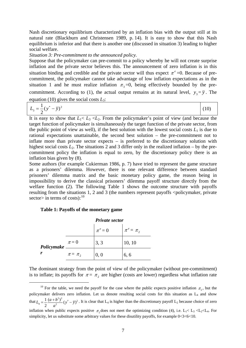Nash discretionary equilibrium characterized by an inflation bias with the output still at its natural rate (Blackburn and Christensen 1989, p. 14). It is easy to show that this Nash equilibrium is inferior and that there is another one (discussed in situation 3) leading to higher social welfare.

*Situation 3: Pre-commitment to the announced policy.* 

Suppose that the policymaker can pre-commit to a policy whereby he will not create surprise inflation and the private sector believes this. The announcement of zero inflation is in this situation binding and credible and the private sector will thus expect  $\pi^e$  =0. Because of precommitment, the policymaker cannot take advantage of low inflation expectations as in the situation 1 and he must realize inflation  $\pi_3 = 0$ , being effectively bounded by the precommitment. According to (1), the actual output remains at its natural level,  $y_3 = \overline{y}$ . The equation (10) gives the social costs *L*3:

$$
L_3 = \frac{1}{2} (y^* - \overline{y})^2
$$
 (10)

It is easy to show that  $L_1 < L_3 < L_2$ . From the policymaker's point of view (and because the target function of policymaker is simultaneously the target function of the private sector, from the public point of view as well), if the best solution with the lowest social costs  $L_1$  is due to rational expectations unattainable, the second best solution – the pre-commitment not to inflate more than private sector expects – is preferred to the discretionary solution with highest social costs  $L_2$ . The situations 2 and 3 differ only in the realized inflation – by the precommitment policy the inflation is equal to zero, by the discretionary policy there is an inflation bias given by (8).

Some authors (for example Cukierman 1986, p. 7) have tried to represent the game structure as a prisoners' dilemma. However, there is one relevant difference between standard prisoners' dilemma matrix and the basic monetary policy game, the reason being in impossibility to derive the classical prisoners' dilemma payoff structure directly from the welfare function (2). The following Table 1 shows the outcome structure with payoffs resulting from the situations 1, 2 and 3 (the numbers represent payoffs  $\leq$  policymaker, private sector> in terms of costs):  $10$ 

#### **Table 1: Payoffs of the monetary game**

1

|            | <b>Private sector</b> |           |                 |
|------------|-----------------------|-----------|-----------------|
|            |                       | $\pi^e=0$ | $\pi^e = \pi_2$ |
| Policymake | $\pi = 0$             | 3, 3      | 10, 10          |
|            | $\pi = \pi$           | 0, 0      | 6, 6            |

The dominant strategy from the point of view of the policymaker (without pre-commitment) is to inflate; its payoffs for  $\pi = \pi_2$  are higher (costs are lower) regardless what inflation rate

<span id="page-9-0"></span><sup>&</sup>lt;sup>10</sup> For the table, we need the payoff for the case where the public expects positive inflation  $\pi$ <sub>2</sub>, but the policymaker delivers zero inflation. Let us denote resulting social costs for this situation as  $L_4$  and show that  $L_4 = \frac{1}{2} \frac{(u+b)(v^* - \bar{y})^2}{a^2} (y^* - \bar{y})^2$  $a_4 = \frac{1}{2} \frac{(a+b^2)^2}{a^2} (y^* - \overline{y})$  $\frac{1}{2} \frac{(a+b^2)^2}{2} (y^* - \overline{y})$ *a*  $L_4 = \frac{1}{2} \frac{(a+b^2)^2}{a^2} (y^2 - \overline{y})^2$ . It is clear that L<sub>4</sub> is higher than the discretionary payoff L<sub>2</sub> because choice of zero inflation when public expects positive  $\pi$ , does not meet the optimizing condition (4), i.e. L<sub>1</sub>< L<sub>3</sub> <L<sub>2</sub> <L<sub>4</sub>. For simplicity, let us substitute some arbitrary values for these disutility payoffs, for example  $0<3<6<10$ .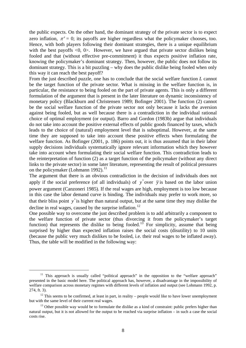the public expects. On the other hand, the dominant strategy of the private sector is to expect zero inflation,  $\pi^e = 0$ ; its payoffs are higher regardless what the policymaker chooses, too. Hence, with both players following their dominant strategies, there is a unique equilibrium with the best payoffs  $\langle 0, 0 \rangle$ . However, we have argued that private sector dislikes being fooled and that (without effective pre-commitment) it thus expects positive inflation rate, knowing the policymaker's dominant strategy. Then, however, the public does not follow its dominant strategy. This is a bit puzzling – why does the public dislike being fooled when only this way it can reach the best payoff?

From the just described puzzle, one has to conclude that the social welfare function *L* cannot be the target function of the private sector. What is missing in the welfare function is, in particular, the resistance to being fooled on the part of private agents. This is only a different formulation of the argument that is present in the later literature on dynamic inconsistency of monetary policy (Blackburn and Christensen 1989; Bofinger 2001). The function (2) cannot be the social welfare function of the private sector not only because it lacks the aversion against being fooled, but as well because there is a contradiction in the individual rational choice of optimal employment (or output). Barro and Gordon (1983b) argue that individuals do not take into account the positive external effects of public goods financed by taxes, which leads to the choice of (natural) employment level that is suboptimal. However, at the same time they are supposed to take into account these positive effects when formulating the welfare function. As Bofinger (2001, p. 186) points out, it is thus assumed that in their labor supply decisions individuals systematically ignore relevant information which they however take into account when formulating their social welfare function. This contradiction leads to the reinterpretation of function (2) as a target function of the policymaker (without any direct links to the private sector) in some later literature, representing the result of political pressures on the policymaker (Lohmann 1992). $^{11}$  $^{11}$  $^{11}$ 

The argument that there is an obvious contradiction in the decision of individuals does not apply if the social preference (of all individuals) of  $y^*$  over  $\bar{y}$  is based on the labor union power argument (Canzoneri 1985). If the real wages are high, employment is too low because in this case the labor demand curve is binding. The individuals may prefer to work more, so that their bliss point  $y^*$  is higher than natural output, but at the same time they may dislike the decline in real wages, caused by the surprise inflation.<sup>[12](#page-10-1)</sup>

One possible way to overcome the just described problem is to add arbitrarily a component to the welfare function of private sector (thus divorcing it from the policymaker's target function) that represents the dislike to being fooled.<sup>[13](#page-10-2)</sup> For simplicity, assume that being surprised by higher than expected inflation raises the social costs (disutility) to 10 units (because the public very much dislikes to be fooled, i.e. their real wages to be inflated away). Thus, the table will be modified in the following way:

<span id="page-10-0"></span><sup>&</sup>lt;sup>11</sup> This approach is usually called "political approach" in the opposition to the "welfare approach" presented in the basic model here. The political approach has, however, a disadvantage in the impossibility of welfare comparison across monetary regimes with different levels of inflation and output (see Lohmann 1992, p.

<span id="page-10-1"></span><sup>274,</sup> ft. 3).<br><sup>12</sup> This seems to be confirmed, at least in part, in reality – people would like to have lower unemployment<br>but with the same level of their current real wages.

<span id="page-10-2"></span> $^{13}$  Other possible way would be to formulate the dislike as a kind of constraint: public prefers higher than natural output, but it is not allowed for the output to be reached via surprise inflation – in such a case the social costs rise.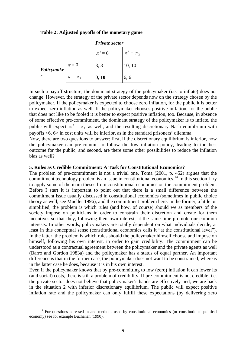#### **Table 2: Adjusted payoffs of the monetary game**

|            | <b>Private sector</b> |           |                 |
|------------|-----------------------|-----------|-----------------|
|            |                       | $\pi^e=0$ | $\pi^e = \pi^2$ |
| Policymake | $\pi = 0$             | 3, 3      | 10, 10          |
|            | $\pi = \pi$           | 0, 10     | 6, 6            |

In such a payoff structure, the dominant strategy of the policymaker (i.e. to inflate) does not change. However, the strategy of the private sector depends now on the strategy chosen by the policymaker. If the policymaker is expected to choose zero inflation, for the public it is better to expect zero inflation as well. If the policymaker chooses positive inflation, for the public that does not like to be fooled it is better to expect positive inflation, too. Because, in absence of some effective pre-commitment, the dominant strategy of the policymaker is to inflate, the public will expect  $\pi^e = \pi_2$  as well, and the resulting discretionary Nash equilibrium with payoffs <6, 6> in cost units will be inferior, as in the standard prisoners' dilemma.

Now, there are two questions to answer: first, if the discretionary equilibrium is inferior, how the policymaker can pre-commit to follow the low inflation policy, leading to the best outcome for the public, and second, are there some other possibilities to reduce the inflation bias as well?

#### **5. Rules as Credible Commitment: A Task for Constitutional Economics?**

The problem of pre-commitment is not a trivial one. Toma (2001, p. 452) argues that the commitment technology problem is an issue in constitutional economics.<sup>[14](#page-11-0)</sup> In this section I try to apply some of the main theses from constitutional economics on the commitment problem. Before I start it is important to point out that there is a small difference between the commitment issue usually discussed in constitutional economics (sometimes in public choice theory as well, see Mueller 1996), and the commitment problem here. In the former, a little bit simplified, the problem is which rules (and how, of course) should we as members of the society impose on politicians in order to constrain their discretion and create for them incentives so that they, following their own interest, at the same time promote our common interests. In other words, policymakers are totally dependent on what individuals decide, at least in this conceptual sense (constitutional economics calls it "at the constitutional level"). In the latter, the problem is which rules should the policymaker himself choose and impose on himself, following his own interest, in order to gain credibility. The commitment can be understood as a contractual agreement between the policymaker and the private agents as well (Barro and Gordon 1983a) and the policymaker has a status of equal partner. An important difference is that in the former case, the policymaker does not want to be constrained, whereas in the latter case he does, because it is in his own interest.

Even if the policymaker knows that by pre-committing to low (zero) inflation it can lower its (and social) costs, there is still a problem of credibility. If pre-commitment is not credible, i.e. the private sector does not believe that policymaker's hands are effectively tied, we are back in the situation 2 with inferior discretionary equilibrium. The public will expect positive inflation rate and the policymaker can only fulfill these expectations (by delivering zero

<span id="page-11-0"></span><sup>&</sup>lt;sup>14</sup> For questions adressed in and methods used by constitutional economics (or constitutional political economy) see for example Buchanan (1990).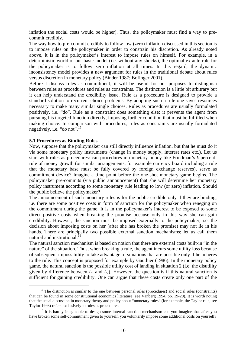inflation the social costs would be higher). Thus, the policymaker must find a way to precommit credibly.

The way how to pre-commit credibly to follow low (zero) inflation discussed in this section is to impose rules on the policymaker in order to constrain his discretion. As already noted above, it is in the policymaker's interest to impose rules on himself. For example, in a deterministic world of our basic model (i.e. without any shocks), the optimal ex ante rule for the policymaker is to follow zero inflation at all times. In this regard, the dynamic inconsistency model provides a new argument for rules in the traditional debate about rules versus discretion in monetary policy (Binder 1987; Bofinger 2001).

Before I discuss rules as commitment, it will be useful for our purposes to distinguish between rules as procedures and rules as constraints. The distinction is a little bit arbitrary but it can help understand the credibility issue. Rule as a procedure is designed to provide a standard solution to recurrent choice problems. By adopting such a rule one saves resources necessary to make many similar single choices. Rules as procedures are usually formulated positively, i.e. "do". Rule as a constraint does something else: it prevents the agent from pursuing his targeted function directly, imposing further condition that must be fulfilled when making choice. In comparison with procedures, rules as constraints are usually formulated negatively, i.e. "do not".<sup>[15](#page-12-0)</sup>

#### **5.1 Procedures as Binding Rules**

-

Now, suppose that the policymaker can still directly influence inflation, but that he must do it via some monetary policy instruments (change in money supply, interest rates etc.). Let us start with rules as procedures: can procedures in monetary policy like Friedman's *k*-percentrule of money growth (or similar arrangements, for example currency board including a rule that the monetary base must be fully covered by foreign exchange reserves), serve as commitment device? Imagine a time point before the one-shot monetary game begins. The policymaker pre-commits (via public announcement) that she will determine her monetary policy instrument according to some monetary rule leading to low (or zero) inflation. Should the public believe the policymaker?

The announcement of such monetary rules is for the public credible only if they are binding, i.e. there are some positive costs in form of sanction for the policymaker when reneging on the commitment during the game. It is in the policymaker's interest to be exposed to some direct positive costs when breaking the promise because only in this way she can gain credibility. However, the sanction must be imposed externally to the policymaker, i.e. the decision about imposing costs on her (after she has broken the promise) may not lie in his hands. There are principally two possible external sanction mechanisms; let us call them natural and institutional.<sup>[16](#page-12-1)</sup>

The natural sanction mechanism is based on notion that there are external costs built-in "in the nature" of the situation. Thus, when breaking a rule, the agent incurs some utility loss because of subsequent impossibility to take advantage of situations that are possible only if he adheres to the rule. This concept is proposed for example by Gauthier (1986). In the monetary policy game, the natural sanction is the possible utility cost of landing in situation 2 (i.e. the disutility given by difference between  $L_3$  and  $L_2$ ). However, the question is if this natural sanction is sufficient for gaining credibility. One can argue that these costs create only one part of the

<span id="page-12-0"></span><sup>&</sup>lt;sup>15</sup> The distinction is similar to the one between personal rules (procedures) and social rules (constraints) that can be found in some constitutional economics literature (see Vanberg 1994, pp. 19-20). It is worth noting that the usual discussion in monetary theory and policy about "monetary rules" (for example, the Taylor rule, see Taylor 1993) refers exclusively to rules as procedures.<br><sup>16</sup> It is hardly imaginable to design some internal sanction mechanism: can you imagine that after you

<span id="page-12-1"></span>have broken some self-commitment given to yourself, you voluntarily impose some additional costs on yourself?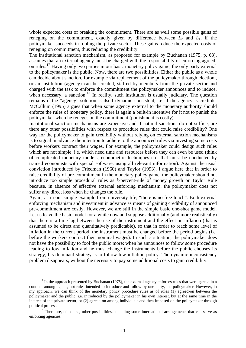whole expected costs of breaking the commitment. There are as well some possible gains of reneging on the commitment, exactly given by difference between  $L_2$  and  $L_1$ , if the policymaker succeeds in fooling the private sector. These gains reduce the expected costs of reneging on commitment, thus reducing the credibility.

The institutional sanction mechanism, as proposed for example by Buchanan (1975, p. 68), assumes that an external agency must be charged with the responsibility of enforcing agreed-on rules.<sup>[17](#page-13-0)</sup> Having only two parties in our basic monetary policy game, the only party external to the policymaker is the public. Now, there are two possibilities. Either the public as a whole can decide about sanction, for example via replacement of the policymaker through election., or an institution (agency) can be created, staffed by members from the private sector and charged with the task to enforce the commitment the policymaker announces and to induce, when necessary, a sanction.<sup>[18](#page-13-1)</sup> In reality, such institution is usually judiciary. The question remains if the "agency" solution is itself dynamic consistent, i.e. if the agency is credible. McCallum (1995) argues that when some agency external to the monetary authority should enforce the rules of monetary policy, there is again a built-in incentive for it not to punish the policymaker when he reneges on the commitment (punishment is costly).

Institutional sanction mechanisms are expensive and if natural sanctions do not suffice, are there any other possibilities with respect to procedure rules that could raise credibility? One way for the policymaker to gain credibility without relying on external sanction mechanisms is to signal in advance the intention to adhere to the announced rules via investing some costs before workers contract their wages. For example, the policymaker could design such rules which are not simple, i.e. which need time and resources before they can even be used (think of complicated monetary models, econometric techniques etc. that must be conducted by trained economists with special software, using all relevant information). Against the usual conviction introduced by Friedman (1960) and Taylor (1993), I argue here that in order to raise credibility of pre-commitment in the monetary policy game, the policymaker should not introduce too simple procedural rules as *k*-percent-rule of money growth or Taylor Rule because, in absence of effective external enforcing mechanism, the policymaker does not suffer any direct loss when he changes the rule.

Again, as in our simple example from university life, "there is no free lunch". Both external enforcing mechanism and investment in advance as means of gaining credibility of announced pre-commitment are costly. However, we are still in the simple basic one-shot game model. Let us leave the basic model for a while now and suppose additionally (and more realistically) that there is a time-lag between the use of the instrument and the effect on inflation (that is assumed to be direct and quantitatively predictable), so that in order to reach some level of inflation in the current period, the instrument must be changed before the period begins (i.e. before the workers contract their nominal wages). In such a situation, the policymaker does not have the possibility to fool the public more: when he announces to follow some procedure leading to low inflation and he must change the instruments before the public chooses its strategy, his dominant strategy is to follow low inflation policy. The dynamic inconsistency problem disappears, without the necessity to pay some additional costs to gain credibility.

<span id="page-13-0"></span> $17$  In the approach presented by Buchanan (1975), the external agency enforces rules that were agreed in a contract among agents, not rules intended to introduce and follow by one party, the policymaker. However, in my approach, we can think of the monetary policy procedure rules as of rules (1) agreed-on between the policymaker and the public, i.e. introduced by the policymaker in his own interest, but at the same time in the interest of the private sector, or (2) agreed-on among individuals and then imposed on the policymaker through

<span id="page-13-1"></span>political process.<br><sup>18</sup> There are, of course, other possibilities, including some international arrangements that can serve as enforcing agencies.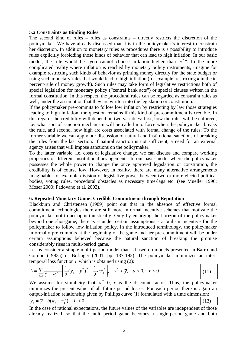#### **5.2 Constraints as Binding Rules**

The second kind of rules – rules as constraints – directly restricts the discretion of the policymaker. We have already discussed that it is in the policymaker's interest to constrain her discretion. In addition to monetary rules as procedures there is a possibility to introduce rules explicitly forbidding those kinds of behavior that can lead to high inflation. In our basic model, the rule would be "you cannot choose inflation higher than  $\pi$ <sup>\*</sup>". In the more complicated reality where inflation is reached by monetary policy instruments, imagine for example restricting such kinds of behavior as printing money directly for the state budget or using such monetary rules that would lead to high inflation (for example, restricting *k* in the *k*percent-rule of money growth). Such rules may take form of legislative restrictions both of special legislation for monetary policy ("central bank acts") or special clauses written in the formal constitution. In this respect, the procedural rules can be regarded as constraint rules as well, under the assumption that they are written into the legislation or constitution.

If the policymaker pre-commits to follow low inflation by restricting by law those strategies leading to high inflation, the question remains if this kind of pre-commitment is credible. In this regard, the credibility will depend on two variables: first, how the rules will be enforced, i.e. what sort of sanction mechanism will be called into force when the policymaker breaks the rule, and second, how high are costs associated with formal change of the rules. To the former variable we can apply our discussion of natural and institutional sanctions of breaking the rules from the last section. If natural sanction is not sufficient, a need for an external agency arises that will impose sanctions on the policymaker.

To the latter variable, i.e. costs of legislative change, we can discuss and compare working properties of different institutional arrangements. In our basic model where the policymaker possesses the whole power to change the once approved legislation or constitution, the credibility is of course low. However, in reality, there are many alternative arrangements imaginable, for example division of legislative power between two or more elected political bodies, voting rules, procedural obstacles as necessary time-lags etc. (see Mueller 1996; Moser 2000; Padovano et al. 2003).

#### **6. Repeated Monetary Game: Credible Commitment through Reputation**

Blackburn and Christensen (1989) point out that in the absence of effective formal commitment technologies there are still more informal incentive schemes that motivate the policymaker not to act opportunistically. Only by enlarging the horizon of the policymaker beyond one shot-game, there is – under certain assumptions - a built-in incentive for the policymaker to follow low inflation policy. In the introduced terminology, the policymaker informally pre-commits at the beginning of the game and her pre-commitment will be under certain assumptions believed because the natural sanction of breaking the promise considerably rises in multi-period game.

Let us consider a simple multi-period model that is based on models presented in Barro and Gordon (1983a) or Bofinger (2001, pp. 187-192). The policymaker minimizes an intertemporal loss function *L* which is obtained using (2):

$$
L = \sum_{t=1}^{\infty} \frac{1}{(1+r)^{t-1}} \left[ \frac{1}{2} (y_t - y^*)^2 + \frac{1}{2} a \pi_t^2 \right], \quad y^* > \bar{y}, \quad a > 0, \quad r > 0
$$
 (11)

We assume for simplicity that  $\pi^* = 0$ , *r* is the discount factor. Thus, the policymaker minimizes the present value of all future period losses. For each period there is again an output-inflation relationship given by Phillips curve (1) formulated with a time dimension:

$$
y_t = \overline{y} + b(\pi_t - \pi_t^e), \quad b > 0
$$
 (12)

In the case of rational expectations, the future values of the variables are independent of those already realized, so that the multi-period game becomes a single-period game and both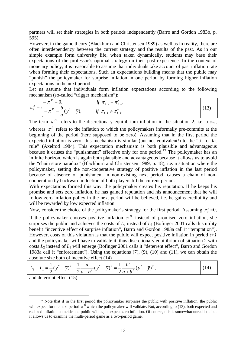partners will set their strategies in both periods independently (Barro and Gordon 1983b, p. 595).

However, in the game theory (Blackburn and Christensen 1989) as well as in reality, there are often interdependency between the current strategy and the results of the past. As in our simple example form university life, when taken dynamically, students may base their expectations of the professor's optimal strategy on their past experience. In the context of monetary policy, it is reasonable to assume that individuals take account of past inflation rate when forming their expectations. Such an expectations building means that the public may "punish" the policymaker for surprise inflation in one period by forming higher inflation expectations in the next period.

Let us assume that individuals form inflation expectations according to the following mechanism (so-called "trigger mechanism"):

$$
\pi_{t}^{e} = \begin{cases}\n= \pi^{P} = 0, & \text{if } \pi_{t-1} = \pi_{t-1}^{e}, \\
= \pi^{D} = \frac{b}{a} (y^{*} - \overline{y}), & \text{if } \pi_{t-1} \neq \pi_{t-1}^{e}.\n\end{cases}
$$
\n(13)

The term  $\pi^D$  refers to the discretionary equilibrium inflation in the situation 2, i.e. to  $\pi_2$ , whereas  $\pi^P$  refers to the inflation to which the policymakers informally pre-commits at the beginning of the period (here supposed to be zero). Assuming that in the first period the expected inflation is zero, this mechanism is similar (but not equivalent!) to the "tit-for-tat rule" (Axelrod 1984). This expectation mechanism is both plausible and advantageous because it causes the "punishment" effective only for one period.<sup>[19](#page-15-0)</sup> The policymaker has an infinite horizon, which is again both plausible and advantageous because it allows us to avoid the "chain store paradox" (Blackburn and Christensen 1989, p. 18), i.e. a situation where the policymaker, setting the non-cooperative strategy of positive inflation in the last period because of absence of punishment in non-existing next period, causes a chain of noncooperation by backward induction of both players till the current period.

With expectations formed this way, the policymaker creates his reputation. If he keeps his promise and sets zero inflation, he has gained reputation and his announcement that he will follow zero inflation policy in the next period will be believed, i.e. he gains credibility and will be rewarded by low expected inflation.

Now, consider the choice of the policymaker's strategy for the first period. Assuming  $\pi_t^e$  =0,

if the policymaker chooses positive inflation  $\pi^D$  instead of promised zero inflation, she surprises the public and achieves the costs of  $L_1$  instead of  $L_3$  (Bofinger 2001 calls this utility benefit "incentive effect of surprise inflation", Barro and Gordon 1983a call it "temptation"). However, costs of this violation is that the public will expect positive inflation in period  $t+1$ and the policymaker will have to validate it, thus discretionary equilibrium of situation 2 with costs *L*2 instead of *L*3 will emerge (Bofinger 2001 calls it "deterrent effect", Barro and Gordon 1983a call it "enforcement"). Using the equations (7), (9), (10) and (11), we can obtain the absolute size both of incentive effect (14)

$$
L_3 - L_1 = \frac{1}{2}(y^* - \overline{y})^2 - \frac{1}{2}\frac{a}{a+b^2}(y^* - \overline{y})^2 = \frac{1}{2}\frac{b^2}{a+b^2}(y^* - \overline{y})^2,
$$
 (14)

and deterrent effect (15)

<span id="page-15-0"></span> $19$  Note that if in the first period the policymaker surprises the public with positive inflation, the public will expect for the next period  $\pi^D$  which the policymaker will validate. But, according to (13), both expected and realized inflation coincide and public will again expect zero inflation. Of course, this is somewhat unrealistic but it allows us to examine the multi-period game as a two-period game.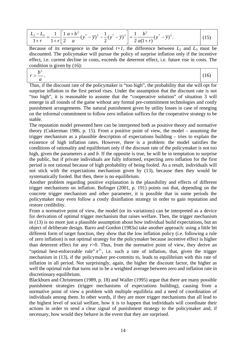$$
\frac{L_2 - L_3}{1+r} = \frac{1}{1+r} \left[ \frac{1}{2} \frac{a+b^2}{a} (y^* - \overline{y})^2 - \frac{1}{2} (y^* - \overline{y})^2 \right] = \frac{1}{2} \frac{b^2}{a(1+r)} (y^* - \overline{y})^2.
$$
 (15)

Because of its emergence in the period  $t+1$ , the difference between  $L_2$  and  $L_3$  must be discounted. The policymaker will pursue the policy of surprise inflation only if the incentive effect, i.e. current decline in costs, exceeds the deterrent effect, i.e. future rise in costs. The condition is given by (16):

$$
>\frac{b^2}{a}.
$$
\n(16)

*r*

Thus, if the discount rate of the policymaker is "too high", the probability that she will opt for surprise inflation in the first period rises. Under the assumption that the discount rate is not "too high", it is reasonable to assume that the "cooperative solution" of situation 3 will emerge in all rounds of the game without any formal pre-commitment technologies and costly punishment arrangements. The natural punishment given by utility losses in case of reneging on the informal commitment to follow zero inflation suffices for the cooperative strategy to be stable.

The reputation model presented here can be interpreted both as positive theory and normative theory (Cukierman 1986, p. 15). From a positive point of view, the model – assuming the trigger mechanism as a plausible description of expectations building – tries to explain the existence of high inflation rates. However, there is a problem: the model satisfies the conditions of rationality and equilibrium only if the discount rate of the policymaker is not too high, given the parameters *a* and *b*. If the opposite is true, he will be in temptation to surprise the public, but if private individuals are fully informed, expecting zero inflation for the first period is not rational because of high probability of being fooled. As a result, individuals will not stick with the expectations mechanism given by (13), because then they would be systematically fooled. But then, there is no equilibrium.

Another problem regarding positive explanation is the plausibility and effects of different trigger mechanisms on inflation. Bofinger (2001, p. 191) points out that, depending on the concrete trigger mechanism and other parameter, it is possible that in some periods the policymaker may even follow a costly disinflation strategy in order to gain reputation and restore credibility.

From a normative point of view, the model (or its variations) can be interpreted as a device for derivation of optimal trigger mechanism that raises welfare. Then, the trigger mechanism in (13) is no more just a plausible assumption about how individual build expectations, but an object of deliberate design. Barro and Gordon (1983a) take another approach: using a little bit different form of target function, they show that the low inflation policy (i.e. following a rule of zero inflation) is not optimal strategy for the policymaker because incentive effect is higher than deterrent effect for any  $r > 0$ . Thus, from the normative point of view, they derive an "optimal best-enforceable rule"  $\pi^P$ , i.e. such a rate of inflation, that, given the trigger mechanism in (13), if the policymaker pre-commits to, leads to equilibrium with this rate of inflation in all period. Not surprisingly, again, the higher the discount factor, the higher as well the optimal rule that turns out to be a weighted average between zero and inflation rate in discretionary equilibrium.

Blackburn and Christensen (1989, p. 18) and Waller (1995) argue that there are many possible punishment strategies (trigger mechanisms of expectations building), causing from a normative point of view a problem with multiple equilibria and a need of coordination of individuals among them. In other words, if they are more trigger mechanisms that all lead to the highest level of social welfare, how it is to happen that individuals will coordinate their actions in order to send a clear signal of punishment strategy to the policymaker and, if necessary, how would they behave in the event that they are surprised.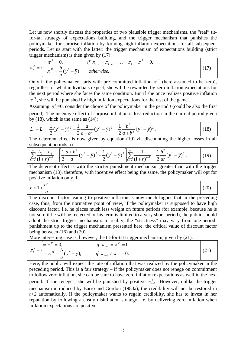Let us now shortly discuss the properties of two plausible trigger mechanisms, the "real" titfor-tat strategy of expectations building, and the trigger mechanism that punishes the policymaker for surprise inflation by forming high inflation expectations for all subsequent periods. Let us start with the latter: the trigger mechanism of expectations building (strict trigger mechanism) is then given by (17):

$$
\pi_{t}^{e} = \begin{cases}\n= \pi^{P} = 0, & \text{if } \pi_{t-1} = \pi_{t-2} = ... = \pi_{1} = \pi^{P} = 0, \\
= \pi^{D} = \frac{b}{a} (y^{*} - \overline{y}) & otherwise.\n\end{cases}
$$
\n(17)

Only if the policymaker starts with pre-committed inflation  $\pi^P$  (here assumed to be zero), regardless of what individuals expect, she will be rewarded by zero inflation expectations for the next period where she faces the same condition. But if she once realizes positive inflation  $\pi^D$ , she will be punished by high inflation expectations for the rest of the game.

Assuming  $\pi_i^e$  =0, consider the choice of the policymaker in the period *t* (could be also the first period). The incentive effect of surprise inflation is loss reduction in the current period given by  $(18)$ , which is the same as  $(14)$ :

$$
L_3 - L_1 = \frac{1}{2}(y^* - \overline{y})^2 - \frac{1}{2}\frac{a}{a+b^2}(y^* - \overline{y})^2 = \frac{1}{2}\frac{b^2}{a+b^2}(y^* - \overline{y})^2.
$$
 (18)

The deterrent effect is now given by equation (19) via discounting the higher losses in all subsequent periods, i.e.

$$
\sum_{i=t+1}^{\infty} \frac{L_2 - L_3}{(1+r)^{i-1}} = \left[ \frac{1}{2} \frac{a+b^2}{a} (y^* - \overline{y})^2 - \frac{1}{2} (y^* - \overline{y})^2 \right] \sum_{i=t+1}^{\infty} \frac{1}{(1+r)^{i-1}} = \frac{1}{2} \frac{b^2}{ar} (y^* - \overline{y})^2.
$$
 (19)

The deterrent effect is with the stricter punishment mechanism greater than with the trigger mechanism (13), therefore, with incentive effect being the same, the policymaker will opt for positive inflation only if

$$
r > 1 + \frac{b^2}{a} \tag{20}
$$

The discount factor leading to positive inflation is now much higher that in the preceding case, thus, from the normative point of view, if the policymaker is supposed to have high discount factor, i.e. he places much less weight on future periods (for example, because he is not sure if he will be reelected or his term is limited to a very short period), the public should adopt the strict trigger mechanism. In reality, the "strictness" may vary from one-periodpunishment up to the trigger mechanism presented here, the critical value of discount factor being between (16) and (20).

More interesting case is, however, the tit-for-tat trigger mechanism, given by (21).

$$
\pi_t^e = \begin{cases}\n= \pi^P = 0, & \text{if } \pi_{t-1} = \pi^P = 0, \\
= \pi^D = \frac{b}{a} (y^* - \overline{y}), & \text{if } \pi_{t-1} \neq \pi^P = 0.\n\end{cases}
$$
\n(21)

Here, the public will expect the rate of inflation that was realized by the policymaker in the preceding period. This is a fair strategy – if the policymaker does not renege on commitment to follow zero inflation, she can be sure to have zero inflation expectations as well in the next period. If she reneges, she will be punished by positive  $\pi_{t+1}^e$ . However, unlike the trigger mechanism introduced by Barro and Gordon (1983a), the credibility will not be restored in  $t+2$  automatically. If the policymaker wants to regain credibility, she has to invest in her reputation by following a costly disinflation strategy, i.e. by delivering zero inflation when inflation expectations are positive.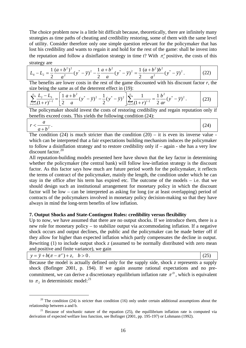The choice problem now is a little bit difficult because, theoretically, there are infinitely many strategies as time paths of cheating and credibility restoring, some of them with the same level of utility. Consider therefore only one simple question relevant for the policymaker that has lost his credibility and wants to regain it and hold for the rest of the game: shall he invest into the reputation and follow a disinflation strategy in time  $t$ ? With  $\pi_t^e$  positive, the costs of this strategy are

$$
L_4 - L_2 = \frac{1}{2} \frac{(a+b^2)^2}{a^2} (y^* - \overline{y})^2 - \frac{1}{2} \frac{a+b^2}{a} (y^* - \overline{y})^2 = \frac{1}{2} \frac{(a+b^2)b^2}{a^2} (y^* - \overline{y})^2.
$$
 (22)

The benefits are lower costs in the rest of the game discounted with his discount factor  $r$ , the size being the same as of the deterrent effect in (19):

$$
\sum_{i=t+1}^{\infty} \frac{L_2 - L_3}{(1+r)^{i-1}} = \left[ \frac{1}{2} \frac{a+b^2}{a} (y^* - \overline{y})^2 - \frac{1}{2} (y^* - \overline{y})^2 \right] \sum_{i=t+1}^{\infty} \frac{1}{(1+r)^{i-1}} = \frac{1}{2} \frac{b^2}{ar} (y^* - \overline{y})^2.
$$
 (23)

The policymaker should invest the costs of restoring credibility and regain reputation only if benefits exceed costs. This yields the following condition (24):

$$
r < \frac{a}{a+b^2}.\tag{24}
$$

The condition  $(24)$  is much stricter than the condition  $(20)$  – it is even its inverse value which can be interpreted that a fair expectations building mechanism induces the policymaker to follow a disinflation strategy and to restore credibility only if – again - she has a very low discount factor.<sup>[20](#page-18-0)</sup>

All reputation-building models presented here have shown that the key factor in determining whether the policymaker (the central bank) will follow low-inflation strategy is the discount factor. As this factor says how much are future period worth for the policymaker, it reflects the terms of contract of the policymaker, mainly the length, the condition under which he can stay in the office after his term has expired etc. The outcome of the models – i.e. that we should design such an institutional arrangement for monetary policy in which the discount factor will be low – can be interpreted as asking for long (or at least overlapping) period of contracts of the policymakers involved in monetary policy decision-making so that they have always in mind the long-term benefits of low inflation.

#### **7. Output Shocks and State-Contingent Rules: credibility versus flexibility**

Up to now, we have assumed that there are no output shocks. If we introduce them, there is a new role for monetary policy – to stabilize output via accommodating inflation. If a negative shock occurs and output declines, the public and the policymaker can be made better off if they allow for higher than expected inflation which partly compensates the decline in output. Rewriting (1) to include output shock *z* (assumed to be normally distributed with zero mean and positive and finite variance), we gain

| (25)<br>$y = \overline{y} + b(\pi - \pi^e) + z, \quad b > 0.$ |
|---------------------------------------------------------------|
|---------------------------------------------------------------|

Because the model is actually defined only for the supply side, shock *z* represents a supply shock (Bofinger 2001, p. 194). If we again assume rational expectations and no precommitment, we can derive a discretionary equilibrium inflation rate  $\pi^D$ , which is equivalent to  $\pi_2$  in deterministic model:<sup>[21](#page-18-1)</sup>

<span id="page-18-0"></span><sup>&</sup>lt;sup>20</sup> The condition (24) is stricter than condition (16) only under certain additional assumptions about the relationship between a and b.<br><sup>21</sup> Because of stochastic nature of the equation (25), the equillibrium inflation rate is computed via

<span id="page-18-1"></span>derivation of expected welfare loss function, see Bofinger (2001, pp. 195-197) or Lohmann (1992).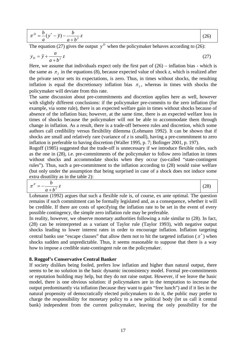| $\pi^{D} = \frac{\nu}{2} (y^{*} - y)$<br>$\overline{z}$ |  |
|---------------------------------------------------------|--|
| ÷.<br>$\alpha$                                          |  |

The equation (27) gives the output  $y^D$  when the policymaker behaves according to (26):

$$
y_D = \overline{y} + \frac{a}{a+b^2}z\tag{27}
$$

Here, we assume that individuals expect only the first part of (26) – inflation bias - which is the same as  $\pi_2$  in the equations (8), because expected value of shock *z*, which is realized after the private sector sets its expectations, is zero. Thus, in times without shocks, the resulting inflation is equal the discretionary inflation bias  $\pi$ , whereas in times with shocks the policymaker will deviate from this rate.

The same discussion about pre-commitments and discretion applies here as well, however with slightly different conclusions: if the policymaker pre-commits to the zero inflation (for example, via some rule), there is an expected welfare gain in times without shocks because of absence of the inflation bias; however, at the same time, there is an expected welfare loss in times of shocks because the policymaker will not be able to accommodate them through change in inflation. As a result, there is a trade-off between rules and discretion, which some authors call credibility versus flexibility dilemma (Lohmann 1992). It can be shown that if shocks are small and relatively rare (variance of *z* is small), having a pre-commitment to zero inflation is preferable to having discretion (Waller 1995, p. 7; Bofinger 2001, p. 197).

Rogoff (1985) suggested that the trade-off is unnecessary if we introduce flexible rules, such as the one in (28), i.e. pre-commitments of the policymaker to follow zero inflation in times without shocks and accommodate shocks when they occur (so-called "state-contingent rules"). Thus, such a pre-commitment to the inflation according to (28) would raise welfare (but only under the assumption that being surprised in case of a shock does not induce some extra disutility as in the table 2):

$$
\pi^P = -\frac{b}{a+b^2}z\tag{28}
$$

Lohmann (1992) argues that such a flexible rule is, of course, ex ante optimal. The question remains if such commitment can be formally legislated and, as a consequence, whether it will be credible. If there are costs of specifying the inflation rate to be set in the event of every possible contingency, the simple zero inflation rule may be preferable.

In reality, however, we observe monetary authorities following a rule similar to (28). In fact, (28) can be reinterpreted as a variant of Taylor rule (Taylor 1993), with negative output shocks leading to lower interest rates in order to encourage inflation. Inflation targeting central banks use "escape clauses" that allow them not to hit the targeted inflation  $(\pi^*)$  when shocks sudden and unpredictable. Thus, it seems reasonable to suppose that there is a way how to impose a credible state-contingent rule on the policymaker.

#### **8. Roggof's Conservative Central Banker**

If society dislikes being fooled, prefers low inflation and higher than natural output, there seems to be no solution in the basic dynamic inconsistency model. Formal pre-commitments or reputation building may help, but they do not raise output. However, if we leave the basic model, there is one obvious solution: if policymakers are in the temptation to increase the output predominantly via inflation (because they want to gain "free lunch") and if it lies in the natural propensity of democratically elected policymakers to do it, the public may prefer to charge the responsibility for monetary policy to a new political body (let us call it central bank) independent from the current policymaker, leaving the only possibility for the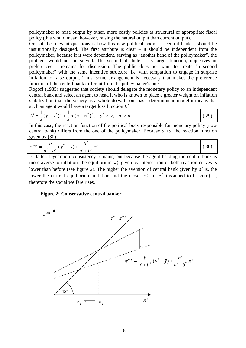policymaker to raise output by other, more costly policies as structural or appropriate fiscal policy (this would mean, however, raising the natural output than current output).

One of the relevant questions is how this new political body – a central bank – should be institutionally designed. The first attribute is clear – it should be independent from the policymaker, because if it were dependent, serving as "another hand of the policymaker", the problem would not be solved. The second attribute – its target function, objectives or preferences – remains for discussion. The public does not want to create "a second policymaker" with the same incentive structure, i.e. with temptation to engage in surprise inflation to raise output. Thus, some arrangement is necessary that makes the preference function of the central bank different from the policymaker's one.

central bank and select an agent to head it who is known to place a greater weight on inflation stabilization than the society as a whole does. In our basic deterministic model it means that such an agent would have a target loss function *L´*  Rogoff (1985) suggested that society should delegate the monetary policy to an independent

$$
L' = \frac{1}{2}(y - y^*)^2 + \frac{1}{2}a'(\pi - \pi^*)^2, \quad y^* > \overline{y}, \quad a' > a.
$$
 (29)

In this case, the reaction function of the political body responsible for monetary policy (now central bank) differs from the one of the policymaker. Because  $a > a$ , the reaction function given by (30)

$$
\pi^{opt} = \frac{b}{a' + b^2} (y^* - \overline{y}) + \frac{b^2}{a' + b^2} \pi^e
$$
\n(30)

is flatter. Dynamic inconsistency remains, but because the agent heading the central bank is more averse to inflation, the equilibrium  $\pi'_2$  given by intersection of both reaction curves is lower than before (see figure 2). The higher the aversion of central bank given by  $a^{\prime}$  is, the lower the current equilibrium inflation and the closer  $\pi'_{2}$  to  $\pi^{*}$  (assumed to be zero) is, there fore the social welfare rises.

#### **Figure 2: Conservative central banker**

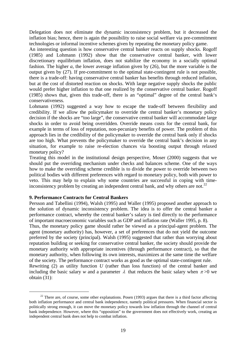Delegation does not eliminate the dynamic inconsistency problem, but it decreased the inflation bias; hence, there is again the possibility to raise social welfare via pre-commitment technologies or informal incentive schemes given by repeating the monetary policy game.

An interesting question is how conservative central banker reacts on supply shocks. Rogoff (1985) and Lohmann (1992) show that the conservative central banker, with lower discretionary equilibrium inflation, does not stabilize the economy in a socially optimal fashion. The higher *a*, the lower average inflation given by (26), but the more variable is the output given by (27). If pre-commitment to the optimal state-contingent rule is not possible, there is a trade-off: having conservative central banker has benefits through reduced inflation, but at the cost of distorted reaction on shocks. With large negative supply shocks the public would prefer higher inflation to that one realized by the conservative central banker. Rogoff (1985) shows that, given this trade-off, there is an "optimal" degree of the central bank's conservativeness.

approach lies in the credibility of the policymaker to override the central bank only if shocks Lohmann (1992) suggested a way how to escape the trade-off between flexibility and credibility. If we allow the policymaker to override the central banker's monetary policy decision if the shocks are "too large", the conservative central banker will accommodate large shocks in order to avoid being overridden. Override means costs for the central bank, for example in terms of loss of reputation, non-pecuniary benefits of power. The problem of this are too high. What prevents the policymaker to override the central bank's decision in any situation, for example to raise re-election chances via boosting output through relaxed monetary policy?

how to make the overriding scheme credible is to divide the power to override between two political bodies with different preferences with regard to monetary policy, both with power to veto. This may help to explain why some countries are successful in coping with time-Treating this model in the institutional design perspective, Moser (2000) suggests that we should put the overriding mechanism under checks and balances scheme. One of the ways inconsistency problem by creating an independent central bank, and why others are not.<sup>22</sup>

#### **9. Performance Contracts for Central Bankers**

Persson and Tabellini (1994), Walsh (1995) and Waller (1995) proposed another approach to the solution of dynamic inconsistency problem. The idea is to offer the central banker a performance contract, whereby the central banker's salary is tied directly to the performance of important macroeconomic variables such as GDP and inflation rate (Waller 1995, p. 8).

reputation building or seeking for conservative central banker, the society should provide the of the society. The performance contract works as good as the optimal state-contingent rule. Rewriting (2) as utility function *U* (rather than loss function) of the central banker and including the basic salary *w* and a parameter  $\lambda$  that reduces the basic salary when  $\pi > 0$  we Thus, the monetary policy game should rather be viewed as a principal-agent problem. The agent (monetary authority) has, however, a set of preferences that do not yield the outcome preferred by the society (principal). Walsh (1995) suggested that rather than worrying about monetary authority with appropriate incentives (through performance contract), so that the monetary authority, when following its own interests, maximizes at the same time the welfare

obtain (31):

-

 $22$  There are, of course, some other explanations. Posen (1993) argues that there is a third factor affecting both inflation performance and central bank independence, namely political pressures. When financial sector is politically strong enough, it can move the monetary policy towards low inflation through the channel of central bank independence. However, where this "opposition" to the government does not effectively work, creating an independent central bank does not help to combat inflation.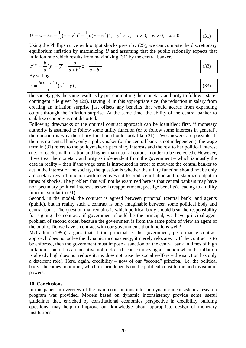$$
U = w - \lambda \pi - \frac{1}{2} (y - y^*)^2 - \frac{1}{2} a (\pi - \pi^*)^2, \quad y^* > \overline{y}, \quad a > 0, \quad w > 0, \quad \lambda > 0
$$
 (31)

Using the Phillips curve with output shocks given by (25), we can compute the discretionary equilibrium inflation by maximizing *U* and assuming that the public rationally expects that inflation rate which results from maximizing (31) by the central banker.

$$
\pi^{opt} = \frac{b}{a} (y^* - \overline{y}) - \frac{b}{a + b^2} z - \frac{\lambda}{a + b^2}
$$
 (32)

By setting

$$
\lambda = \frac{b(a+b^2)}{a}(y^* - \overline{y}),
$$
\n(33)

the society gets the same result as by pre-committing the monetary authority to follow a statecontingent rule given by (28). Having  $\lambda$  in this appropriate size, the reduction in salary from creating an inflation surprise just offsets any benefits that would accrue from expanding output through the inflation surprise. At the same time, the ability of the central banker to stabilize economy is not distorted.

Following drawbacks of the optimal contract approach can be identified: first, if monetary authority is assumed to follow some utility function (or to follow some interests in general), the question is why the utility function should look like (31). Two answers are possible. If there is no central bank, only a policymaker (or the central bank is not independent), the wage term in (31) refers to the policymaker's pecuniary interests and the rest to her political interest (i.e. to reach small inflation and higher than natural output in order to be reelected). However, if we treat the monetary authority as independent from the government – which is mostly the case in reality – then if the wage term is introduced in order to motivate the central banker to act in the interest of the society, the question is whether the utility function should not be only a monetary reward function with incentives not to produce inflation and to stabilize output in times of shocks. The problem that will not be examined here is that central bankers may have non-pecuniary political interests as well (reappointment, prestige benefits), leading to a utility function similar to (31).

Second, in the model, the contract is agreed between principal (central bank) and agents (public), but in reality such a contract is only imaginable between some political body and central bank. The question that remains is which political body should bear the responsibility for signing the contract: if government should be the principal, we have principal-agent problem of second order, because the government is from the same point of view an agent of the public. Do we have a contract with our governments that functions well?

McCallum (1995) argues that if the principal is the government, performance contract approach does not solve the dynamic inconsistency, it merely relocates it. If the contract is to be enforced, then the government must impose a sanction on the central bank in times of high inflation – but it has an incentive not to do it (because imposing a sanction when the inflation is already high does not reduce it, i.e. does not raise the social welfare – the sanction has only a deterrent role). Here, again, credibility – now of our "second" principal, i.e. the political body - becomes important, which in turn depends on the political constitution and division of powers.

#### **10. Conclusions**

In this paper an overview of the main contributions into the dynamic inconsistency research program was provided. Models based on dynamic inconsistency provide some useful guidelines that, enriched by constitutional economics perspective in credibility building questions, may help to improve our knowledge about appropriate design of monetary institutions.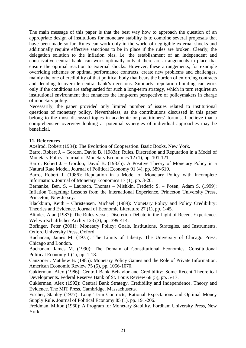The main message of this paper is that the best way how to approach the question of an appropriate design of institutions for monetary stability is to combine several proposals that have been made so far. Rules can work only in the world of negligible external shocks and additionally require effective sanctions to be in place if the rules are broken. Clearly, the delegation solution to the inflation bias, i.e. the establishment of an independent and conservative central bank, can work optimally only if there are arrangements in place that ensure the optimal reaction to external shocks. However, these arrangements, for example overriding schemes or optimal performance contracts, create new problems and challenges, mainly the one of credibility of that political body that bears the burden of enforcing contracts and deciding to override central bank's decisions. Similarly, reputation building can work only if the conditions are safeguarded for such a long-term strategy, which in turn requires an institutional environment that enhances the long-term perspective of policymakers in charge of monetary policy.

belong to the most discussed topics in academic or practitioners' forums, I believe that a comprehensive overview looking at potential synergies of individual approaches may be Necessarily, the paper provided only limited number of issues related to institutional questions of monetary policy. Nevertheless, as the contributions discussed in this paper beneficial.

#### **11. References**

Axelrod, Robert (1984): The Evolution of Cooperation. Basic Books, New York.

Barro, Robert J. – Gordon, David B. (1983a): Rules, Discretion and Reputation in a Model of Monetary Policy. Journal of Monetary Economics 12 (1), pp. 101-121.

Natural Rate Model. Journal of Political Economy 91 (4), pp. 589-610. Barro, Robert J. – Gordon, David B. (1983b): A Positive Theory of Monetary Policy in a

Barro, Robert J. (1986): Reputation in a Model of Monetary Policy with Incomplete Information. Journal of Monetary Economics 17 (1), pp. 3-20.

Bernanke, Ben. S. – Laubach, Thomas – Mishkin, Frederic S. – Posen, Adam S. (1999): Inflation Targeting: Lessons from the International Experience. Princeton University Press, Princeton, New Jersey.

Theories and Evidence. Journal of Economic Literature  $27$  (1), pp. 1-45. Blackburn, Keith – Christensen, Michael (1989): Monetary Policy and Policy Credibility:

Weltwirtschaftliches Archiv 123 (3), pp. 399-414. Blinder, Alan (1987): The Rules-versus-Discretion Debate in the Light of Recent Experience.

Oxford University Press, Oxford. Bofinger, Peter (2001): Monetary Policy: Goals, Institutions, Strategies, and Instruments.

Buchanan, James M. (1975): The Limits of Liberty. The University of Chicago Press, Chicago and London.

Buchanan, James M. (1990): The Domain of Constitutional Economics. Constitutional Political Economy 1 (1), pp. 1-18.

Canzoneri, Matthew B. (1985): Monetary Policy Games and the Role of Private Information. American Economic Review 75 (5), pp. 1056-1070.

Developments. Federal Reserve Bank of St. Louis Review 68 (5), pp. 5-17. Cukierman, Alex (1986): Central Bank Behavior and Credibility: Some Recent Theoretical

Cukierman, Alex (1992): Central Bank Strategy, Credibility and Independence. Theory and Evidence. The MIT Press, Cambridge, Massachusetts.

Supply Rule. Journal of Political Economy 85 (1), pp. 191-206. Fischer, Stanley (1977): Long Term Contracts, Rational Expectations and Optimal Money

Freidman, Milton (1960): A Program for Monetary Stability. Fordham University Press, New York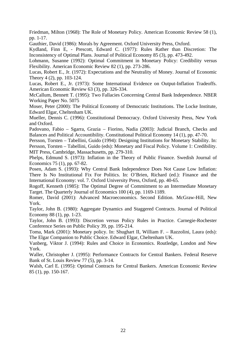Friedman, Milton (1968): The Role of Monetary Policy. American Economic Review 58 (1), pp. 1-17.

Gauthier, David (1986): Morals by Agreement. Oxford University Press, Oxford.

Inconsistency of Optimal Plans. Journal of Political Economy 85 (3), pp. 473-492. Kydland, Finn E, - Prescott, Edward C. (1977): Rules Rather than Discretion: The

Flexibility. American Economic Review 82 (1), pp. 273-286. Lohmann, Susanne (1992): Optimal Commitment in Monetary Policy: Credibility versus

Lucas, Robert E., Jr. (1972): Expectations and the Neutrality of Money. Journal of Economic Theory 4 (2), pp. 103-124.

American Economic Review 63 (3), pp. 326-334. Lucas, Robert E., Jr. (1973): Some International Evidence on Output-Inflation Tradeoffs.

McCallum, Bennett T. (1995): Two Fallacies Concerning Central Bank Independence. NBER Working Paper No. 5075

Edward Elgar, Cheltenham UK. Moser, Peter (2000): The Political Economy of Democratic Institutions. The Locke Institute,

Mueller, Dennis C. (1996): Constitutional Democracy. Oxford University Press, New York and Oxford.

Padovano, Fabio – Sgarra, Grazia – Fiorino, Nadia (2003): Judicial Branch, Checks and Balances and Political Accountibility. Constitutional Political Economy 14 (1), pp. 47-70.

Persson, Torsten - Tabellini, Guido (1994): Designing Institutions for Monetary Stability. In: MIT Press, Cambridge, Massachusetts, pp. 279-310. Persson, Torsten – Tabellini, Guido (eds): Monetary and Fiscal Policy. Volume 1: Credibility.

Phelps, Edmund S. (1973): Inflation in the Theory of Public Finance. Swedish Journal of Economics 75 (1), pp. 67-82.

Posen, Adam S. (1993): Why Central Bank Independence Does Not Cause Low Inflation: International Economy: vol. 7. Oxford University Press, Oxford, pp. 40-65. There Is No Institutional Fix For Politics. In: O'Brien, Richard (ed.): Finance and the

Target. The Quarterly Journal of Economics 100 (4), pp. 1169-1189. Rogoff, Kenneth (1985): The Optimal Degree of Commitment to an Intermediate Monetary

Romer, David (2001): Advanced Macroeconomics. Second Edition. McGraw-Hill, New York.

Taylor, John B. (1980): Aggregate Dynamics and Staggered Contracts. Journal of Political Economy 88 (1), pp. 1-23.

Taylor, John B. (1993): Discretion versus Policy Rules in Practice. Carnegie-Rochester Conference Series on Public Policy 39, pp. 195-214.

The Elgar Companion to Public Choice. Edward Elgar, Cheltenham UK. Toma, Mark (2001): Monetary policy. In: Shughart II, William F. – Razzolini, Laura (eds):

Vanberg, Viktor J. (1994): Rules and Choice in Economics. Routledge, London and New York.

Bank of St. Louis Review  $77$  (5), pp. 3-14. Waller, Christopher J. (1995): Performance Contracts for Central Bankers. Federal Reserve

Walsh, Carl E. (1995): Optimal Contracts for Central Bankers. American Economic Review 85 (1), pp. 150-167.